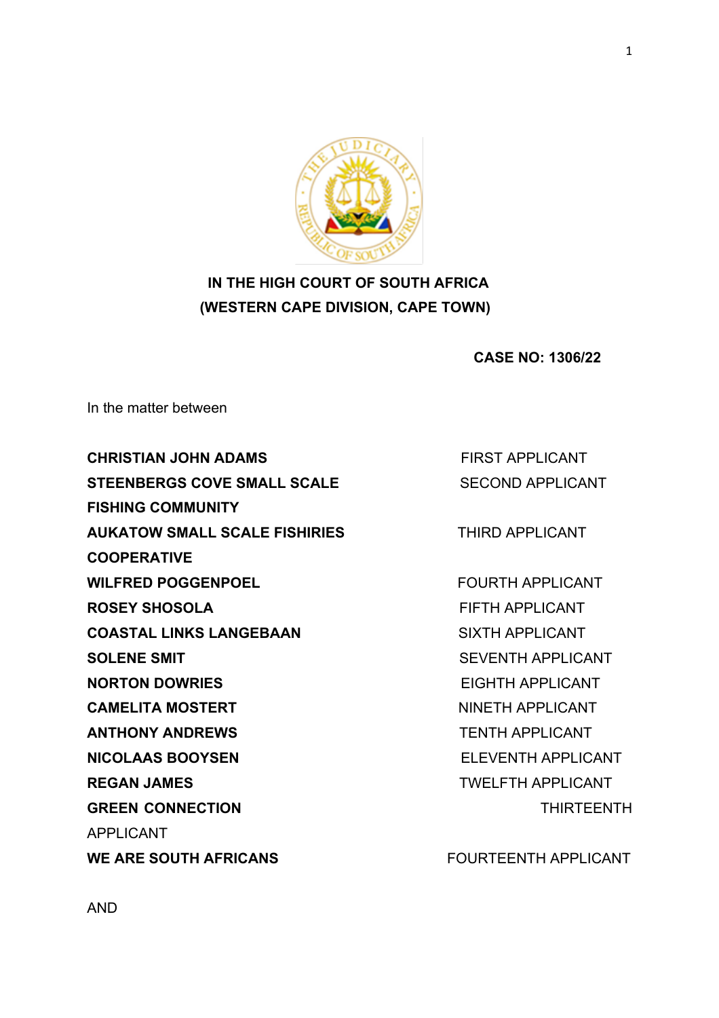

# **IN THE HIGH COURT OF SOUTH AFRICA (WESTERN CAPE DIVISION, CAPE TOWN)**

 **CASE NO: 1306/22**

In the matter between

**CHRISTIAN JOHN ADAMS EIRST APPLICANT STEENBERGS COVE SMALL SCALE SECOND APPLICANT FISHING COMMUNITY AUKATOW SMALL SCALE FISHIRIES** THIRD APPLICANT **COOPERATIVE WILFRED POGGENPOEL** FOURTH APPLICANT **ROSEY SHOSOLA EIFTH APPLICANT COASTAL LINKS LANGEBAAN** SIXTH APPLICANT **SOLENE SMIT** SEVENTH APPLICANT **NORTON DOWRIES** EIGHTH APPLICANT **CAMELITA MOSTERT CAMELITA MOSTERT ANTHONY ANDREWS** TENTH APPLICANT **NICOLAAS BOOYSEN** ELEVENTH APPLICANT **REGAN JAMES** TWELFTH APPLICANT **GREEN CONNECTION** THIRTEENTH APPLICANT

WE ARE SOUTH AFRICANS **WE ARE SOUTH AFRICANS**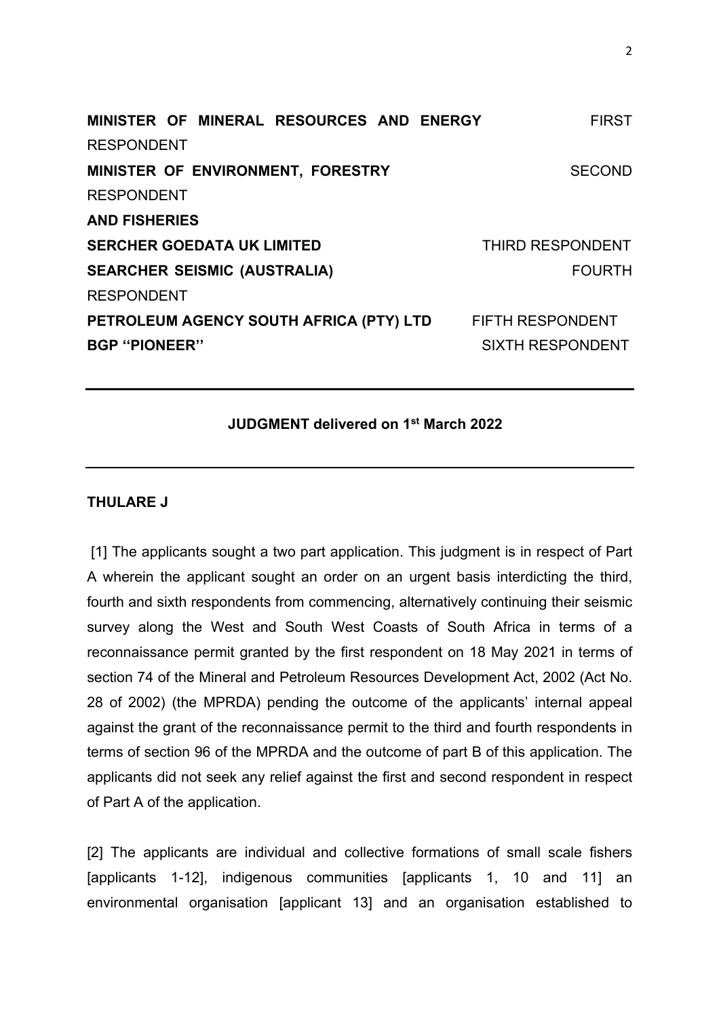| MINISTER OF MINERAL RESOURCES AND ENERGY<br><b>FIRST</b> |
|----------------------------------------------------------|
|                                                          |
| <b>SECOND</b>                                            |
|                                                          |
|                                                          |
| THIRD RESPONDENT                                         |
| <b>FOURTH</b>                                            |
|                                                          |
| <b>FIFTH RESPONDENT</b>                                  |
| <b>SIXTH RESPONDENT</b>                                  |
|                                                          |

# **JUDGMENT delivered on 1st March 2022**

#### **THULARE J**

[1] The applicants sought a two part application. This judgment is in respect of Part A wherein the applicant sought an order on an urgent basis interdicting the third, fourth and sixth respondents from commencing, alternatively continuing their seismic survey along the West and South West Coasts of South Africa in terms of a reconnaissance permit granted by the first respondent on 18 May 2021 in terms of section 74 of the Mineral and Petroleum Resources Development Act, 2002 (Act No. 28 of 2002) (the MPRDA) pending the outcome of the applicants' internal appeal against the grant of the reconnaissance permit to the third and fourth respondents in terms of section 96 of the MPRDA and the outcome of part B of this application. The applicants did not seek any relief against the first and second respondent in respect of Part A of the application.

[2] The applicants are individual and collective formations of small scale fishers [applicants 1-12], indigenous communities [applicants 1, 10 and 11] an environmental organisation [applicant 13] and an organisation established to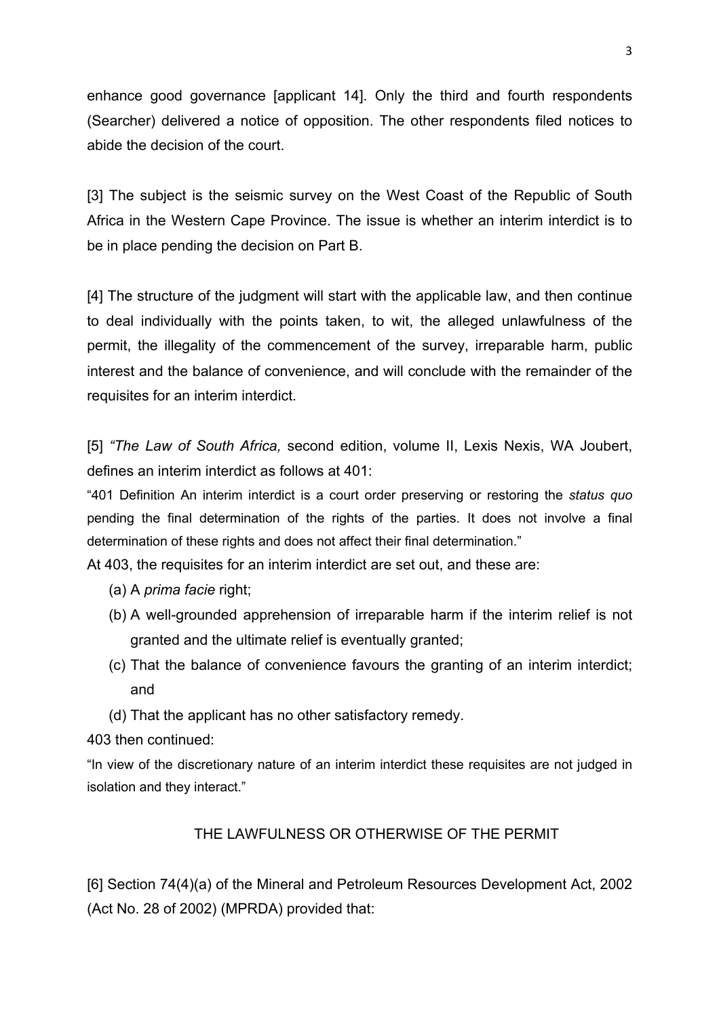enhance good governance [applicant 14]. Only the third and fourth respondents (Searcher) delivered a notice of opposition. The other respondents filed notices to abide the decision of the court.

[3] The subject is the seismic survey on the West Coast of the Republic of South Africa in the Western Cape Province. The issue is whether an interim interdict is to be in place pending the decision on Part B.

[4] The structure of the judgment will start with the applicable law, and then continue to deal individually with the points taken, to wit, the alleged unlawfulness of the permit, the illegality of the commencement of the survey, irreparable harm, public interest and the balance of convenience, and will conclude with the remainder of the requisites for an interim interdict.

[5] *"The Law of South Africa,* second edition, volume II, Lexis Nexis, WA Joubert, defines an interim interdict as follows at 401:

"401 Definition An interim interdict is a court order preserving or restoring the *status quo*  pending the final determination of the rights of the parties. It does not involve a final determination of these rights and does not affect their final determination."

At 403, the requisites for an interim interdict are set out, and these are:

- (a) A *prima facie* right;
- (b) A well-grounded apprehension of irreparable harm if the interim relief is not granted and the ultimate relief is eventually granted;
- (c) That the balance of convenience favours the granting of an interim interdict; and
- (d) That the applicant has no other satisfactory remedy.

403 then continued:

"In view of the discretionary nature of an interim interdict these requisites are not judged in isolation and they interact."

# THE LAWFULNESS OR OTHERWISE OF THE PERMIT

[6] Section 74(4)(a) of the Mineral and Petroleum Resources Development Act, 2002 (Act No. 28 of 2002) (MPRDA) provided that: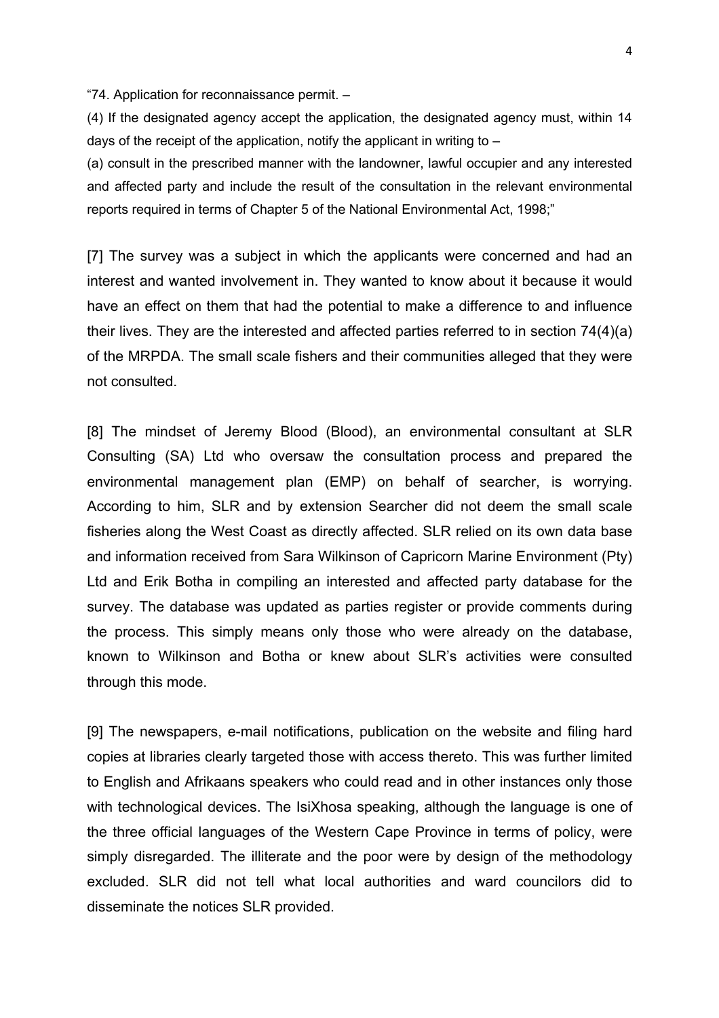"74. Application for reconnaissance permit. –

(4) If the designated agency accept the application, the designated agency must, within 14 days of the receipt of the application, notify the applicant in writing to  $-$ 

(a) consult in the prescribed manner with the landowner, lawful occupier and any interested and affected party and include the result of the consultation in the relevant environmental reports required in terms of Chapter 5 of the National Environmental Act, 1998;"

[7] The survey was a subject in which the applicants were concerned and had an interest and wanted involvement in. They wanted to know about it because it would have an effect on them that had the potential to make a difference to and influence their lives. They are the interested and affected parties referred to in section 74(4)(a) of the MRPDA. The small scale fishers and their communities alleged that they were not consulted.

[8] The mindset of Jeremy Blood (Blood), an environmental consultant at SLR Consulting (SA) Ltd who oversaw the consultation process and prepared the environmental management plan (EMP) on behalf of searcher, is worrying. According to him, SLR and by extension Searcher did not deem the small scale fisheries along the West Coast as directly affected. SLR relied on its own data base and information received from Sara Wilkinson of Capricorn Marine Environment (Pty) Ltd and Erik Botha in compiling an interested and affected party database for the survey. The database was updated as parties register or provide comments during the process. This simply means only those who were already on the database, known to Wilkinson and Botha or knew about SLR's activities were consulted through this mode.

[9] The newspapers, e-mail notifications, publication on the website and filing hard copies at libraries clearly targeted those with access thereto. This was further limited to English and Afrikaans speakers who could read and in other instances only those with technological devices. The IsiXhosa speaking, although the language is one of the three official languages of the Western Cape Province in terms of policy, were simply disregarded. The illiterate and the poor were by design of the methodology excluded. SLR did not tell what local authorities and ward councilors did to disseminate the notices SLR provided.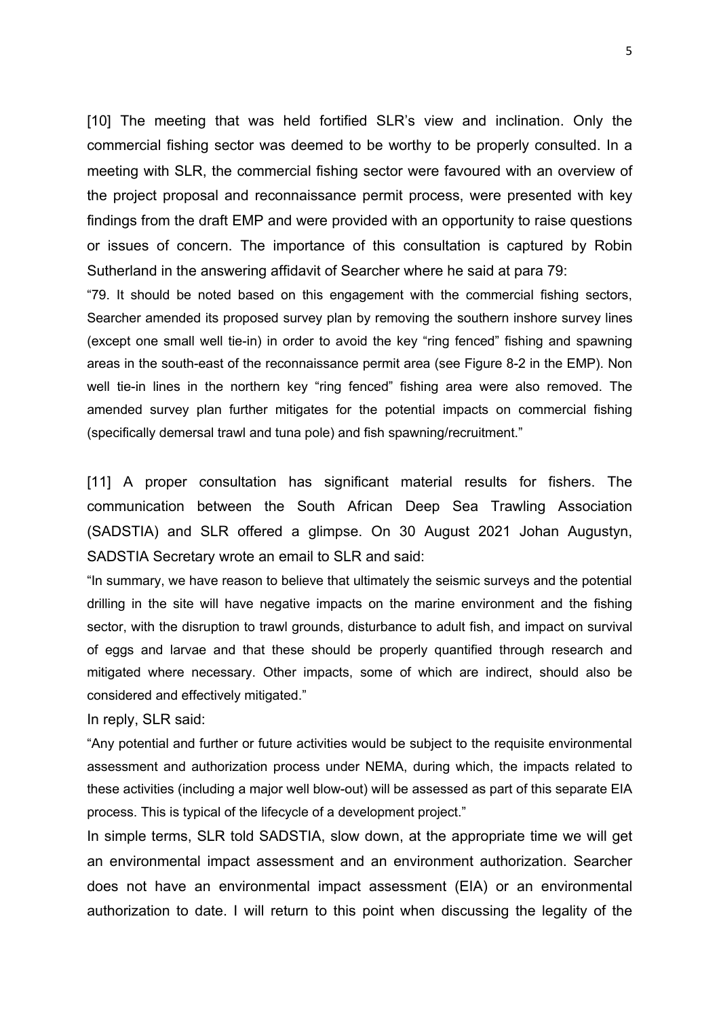[10] The meeting that was held fortified SLR's view and inclination. Only the commercial fishing sector was deemed to be worthy to be properly consulted. In a meeting with SLR, the commercial fishing sector were favoured with an overview of the project proposal and reconnaissance permit process, were presented with key findings from the draft EMP and were provided with an opportunity to raise questions or issues of concern. The importance of this consultation is captured by Robin Sutherland in the answering affidavit of Searcher where he said at para 79:

"79. It should be noted based on this engagement with the commercial fishing sectors, Searcher amended its proposed survey plan by removing the southern inshore survey lines (except one small well tie-in) in order to avoid the key "ring fenced" fishing and spawning areas in the south-east of the reconnaissance permit area (see Figure 8-2 in the EMP). Non well tie-in lines in the northern key "ring fenced" fishing area were also removed. The amended survey plan further mitigates for the potential impacts on commercial fishing (specifically demersal trawl and tuna pole) and fish spawning/recruitment."

[11] A proper consultation has significant material results for fishers. The communication between the South African Deep Sea Trawling Association (SADSTIA) and SLR offered a glimpse. On 30 August 2021 Johan Augustyn, SADSTIA Secretary wrote an email to SLR and said:

"In summary, we have reason to believe that ultimately the seismic surveys and the potential drilling in the site will have negative impacts on the marine environment and the fishing sector, with the disruption to trawl grounds, disturbance to adult fish, and impact on survival of eggs and larvae and that these should be properly quantified through research and mitigated where necessary. Other impacts, some of which are indirect, should also be considered and effectively mitigated."

In reply, SLR said:

"Any potential and further or future activities would be subject to the requisite environmental assessment and authorization process under NEMA, during which, the impacts related to these activities (including a major well blow-out) will be assessed as part of this separate EIA process. This is typical of the lifecycle of a development project."

In simple terms, SLR told SADSTIA, slow down, at the appropriate time we will get an environmental impact assessment and an environment authorization. Searcher does not have an environmental impact assessment (EIA) or an environmental authorization to date. I will return to this point when discussing the legality of the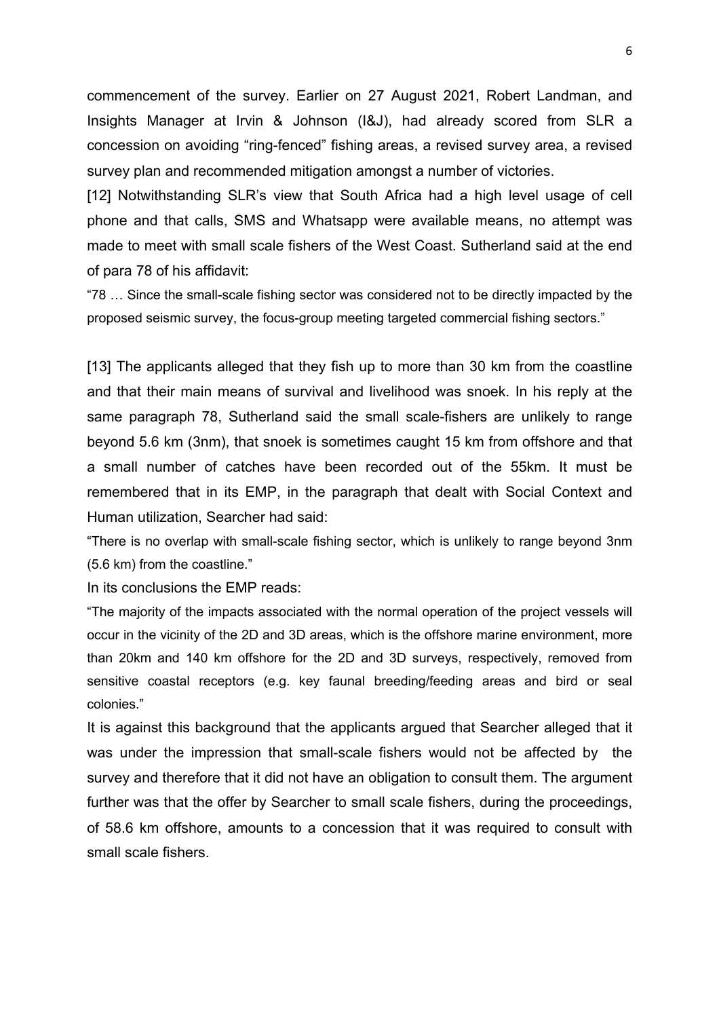commencement of the survey. Earlier on 27 August 2021, Robert Landman, and Insights Manager at Irvin & Johnson (I&J), had already scored from SLR a concession on avoiding "ring-fenced" fishing areas, a revised survey area, a revised survey plan and recommended mitigation amongst a number of victories.

[12] Notwithstanding SLR's view that South Africa had a high level usage of cell phone and that calls, SMS and Whatsapp were available means, no attempt was made to meet with small scale fishers of the West Coast. Sutherland said at the end of para 78 of his affidavit:

"78 … Since the small-scale fishing sector was considered not to be directly impacted by the proposed seismic survey, the focus-group meeting targeted commercial fishing sectors."

[13] The applicants alleged that they fish up to more than 30 km from the coastline and that their main means of survival and livelihood was snoek. In his reply at the same paragraph 78, Sutherland said the small scale-fishers are unlikely to range beyond 5.6 km (3nm), that snoek is sometimes caught 15 km from offshore and that a small number of catches have been recorded out of the 55km. It must be remembered that in its EMP, in the paragraph that dealt with Social Context and Human utilization, Searcher had said:

"There is no overlap with small-scale fishing sector, which is unlikely to range beyond 3nm (5.6 km) from the coastline."

In its conclusions the EMP reads:

"The majority of the impacts associated with the normal operation of the project vessels will occur in the vicinity of the 2D and 3D areas, which is the offshore marine environment, more than 20km and 140 km offshore for the 2D and 3D surveys, respectively, removed from sensitive coastal receptors (e.g. key faunal breeding/feeding areas and bird or seal colonies."

It is against this background that the applicants argued that Searcher alleged that it was under the impression that small-scale fishers would not be affected by the survey and therefore that it did not have an obligation to consult them. The argument further was that the offer by Searcher to small scale fishers, during the proceedings, of 58.6 km offshore, amounts to a concession that it was required to consult with small scale fishers.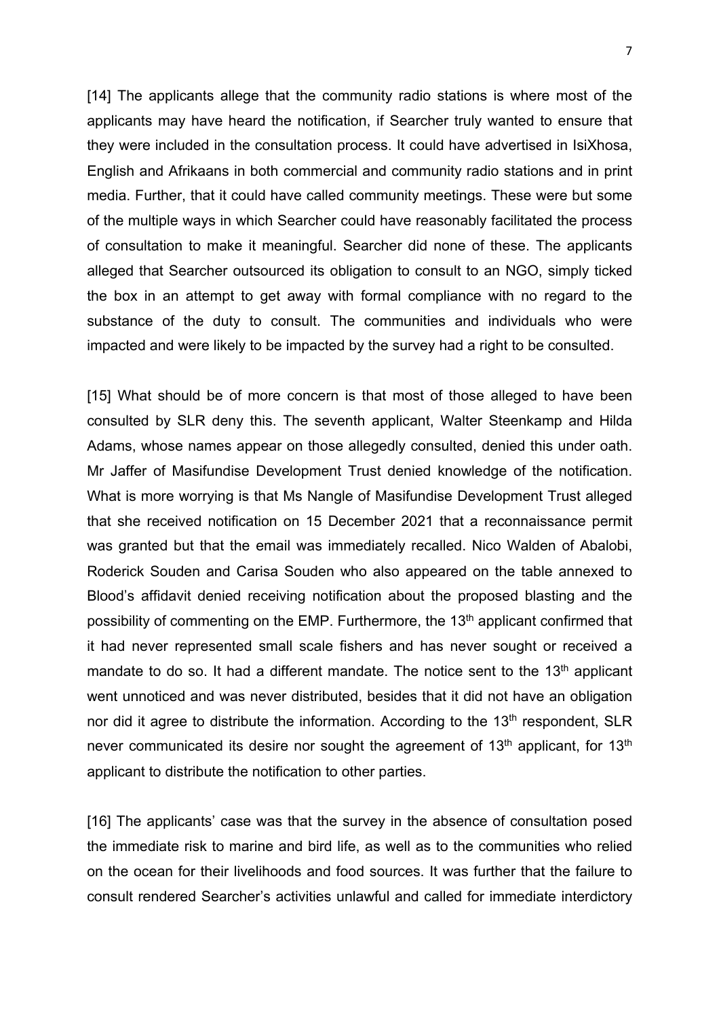[14] The applicants allege that the community radio stations is where most of the applicants may have heard the notification, if Searcher truly wanted to ensure that they were included in the consultation process. It could have advertised in IsiXhosa, English and Afrikaans in both commercial and community radio stations and in print media. Further, that it could have called community meetings. These were but some of the multiple ways in which Searcher could have reasonably facilitated the process of consultation to make it meaningful. Searcher did none of these. The applicants alleged that Searcher outsourced its obligation to consult to an NGO, simply ticked the box in an attempt to get away with formal compliance with no regard to the substance of the duty to consult. The communities and individuals who were impacted and were likely to be impacted by the survey had a right to be consulted.

[15] What should be of more concern is that most of those alleged to have been consulted by SLR deny this. The seventh applicant, Walter Steenkamp and Hilda Adams, whose names appear on those allegedly consulted, denied this under oath. Mr Jaffer of Masifundise Development Trust denied knowledge of the notification. What is more worrying is that Ms Nangle of Masifundise Development Trust alleged that she received notification on 15 December 2021 that a reconnaissance permit was granted but that the email was immediately recalled. Nico Walden of Abalobi, Roderick Souden and Carisa Souden who also appeared on the table annexed to Blood's affidavit denied receiving notification about the proposed blasting and the possibility of commenting on the EMP. Furthermore, the 13<sup>th</sup> applicant confirmed that it had never represented small scale fishers and has never sought or received a mandate to do so. It had a different mandate. The notice sent to the  $13<sup>th</sup>$  applicant went unnoticed and was never distributed, besides that it did not have an obligation nor did it agree to distribute the information. According to the 13<sup>th</sup> respondent, SLR never communicated its desire nor sought the agreement of 13<sup>th</sup> applicant, for 13<sup>th</sup> applicant to distribute the notification to other parties.

[16] The applicants' case was that the survey in the absence of consultation posed the immediate risk to marine and bird life, as well as to the communities who relied on the ocean for their livelihoods and food sources. It was further that the failure to consult rendered Searcher's activities unlawful and called for immediate interdictory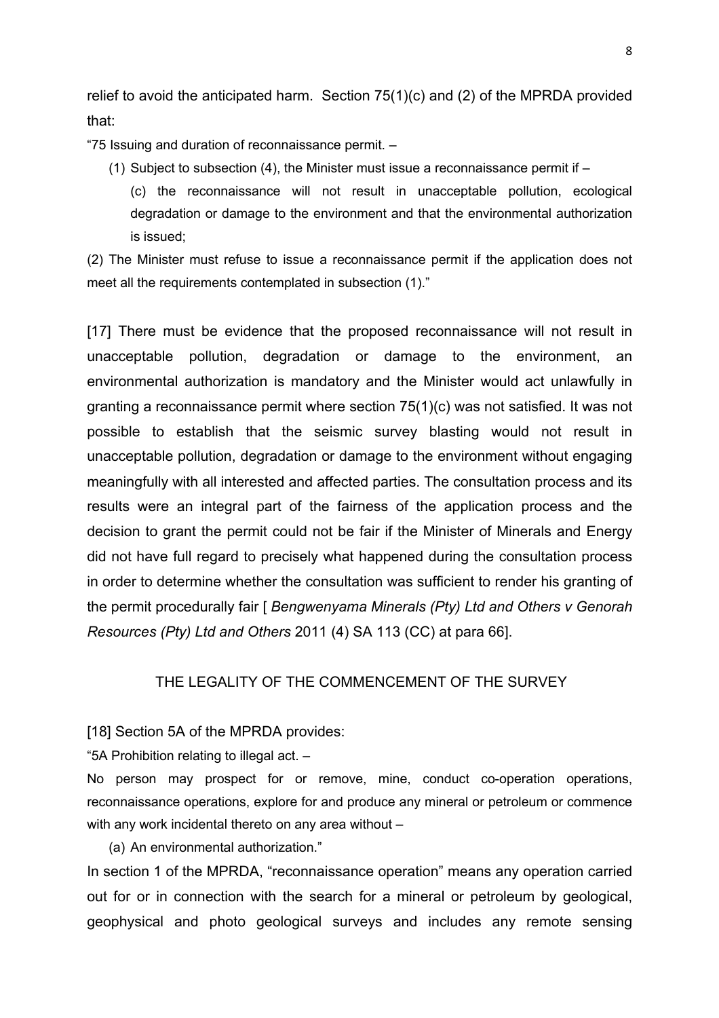relief to avoid the anticipated harm. Section 75(1)(c) and (2) of the MPRDA provided that:

"75 Issuing and duration of reconnaissance permit. –

- (1) Subject to subsection (4), the Minister must issue a reconnaissance permit if  $-$ 
	- (c) the reconnaissance will not result in unacceptable pollution, ecological degradation or damage to the environment and that the environmental authorization is issued;

(2) The Minister must refuse to issue a reconnaissance permit if the application does not meet all the requirements contemplated in subsection (1)."

[17] There must be evidence that the proposed reconnaissance will not result in unacceptable pollution, degradation or damage to the environment, an environmental authorization is mandatory and the Minister would act unlawfully in granting a reconnaissance permit where section 75(1)(c) was not satisfied. It was not possible to establish that the seismic survey blasting would not result in unacceptable pollution, degradation or damage to the environment without engaging meaningfully with all interested and affected parties. The consultation process and its results were an integral part of the fairness of the application process and the decision to grant the permit could not be fair if the Minister of Minerals and Energy did not have full regard to precisely what happened during the consultation process in order to determine whether the consultation was sufficient to render his granting of the permit procedurally fair [ *Bengwenyama Minerals (Pty) Ltd and Others v Genorah Resources (Pty) Ltd and Others* 2011 (4) SA 113 (CC) at para 66].

### THE LEGALITY OF THE COMMENCEMENT OF THE SURVEY

#### [18] Section 5A of the MPRDA provides:

"5A Prohibition relating to illegal act. –

No person may prospect for or remove, mine, conduct co-operation operations, reconnaissance operations, explore for and produce any mineral or petroleum or commence with any work incidental thereto on any area without –

(a) An environmental authorization."

In section 1 of the MPRDA, "reconnaissance operation" means any operation carried out for or in connection with the search for a mineral or petroleum by geological, geophysical and photo geological surveys and includes any remote sensing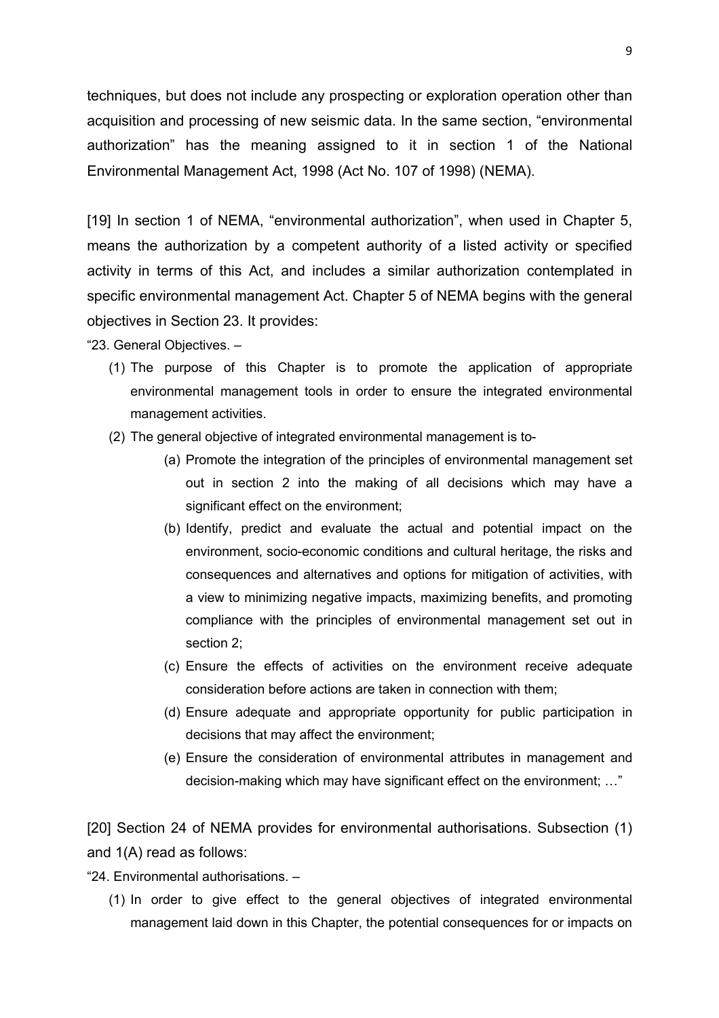techniques, but does not include any prospecting or exploration operation other than acquisition and processing of new seismic data. In the same section, "environmental authorization" has the meaning assigned to it in section 1 of the National Environmental Management Act, 1998 (Act No. 107 of 1998) (NEMA).

[19] In section 1 of NEMA, "environmental authorization", when used in Chapter 5, means the authorization by a competent authority of a listed activity or specified activity in terms of this Act, and includes a similar authorization contemplated in specific environmental management Act. Chapter 5 of NEMA begins with the general objectives in Section 23. It provides:

"23. General Objectives. –

- (1) The purpose of this Chapter is to promote the application of appropriate environmental management tools in order to ensure the integrated environmental management activities.
- (2) The general objective of integrated environmental management is to-
	- (a) Promote the integration of the principles of environmental management set out in section 2 into the making of all decisions which may have a significant effect on the environment;
	- (b) Identify, predict and evaluate the actual and potential impact on the environment, socio-economic conditions and cultural heritage, the risks and consequences and alternatives and options for mitigation of activities, with a view to minimizing negative impacts, maximizing benefits, and promoting compliance with the principles of environmental management set out in section 2;
	- (c) Ensure the effects of activities on the environment receive adequate consideration before actions are taken in connection with them;
	- (d) Ensure adequate and appropriate opportunity for public participation in decisions that may affect the environment;
	- (e) Ensure the consideration of environmental attributes in management and decision-making which may have significant effect on the environment; …"

[20] Section 24 of NEMA provides for environmental authorisations. Subsection (1) and 1(A) read as follows:

"24. Environmental authorisations. –

(1) In order to give effect to the general objectives of integrated environmental management laid down in this Chapter, the potential consequences for or impacts on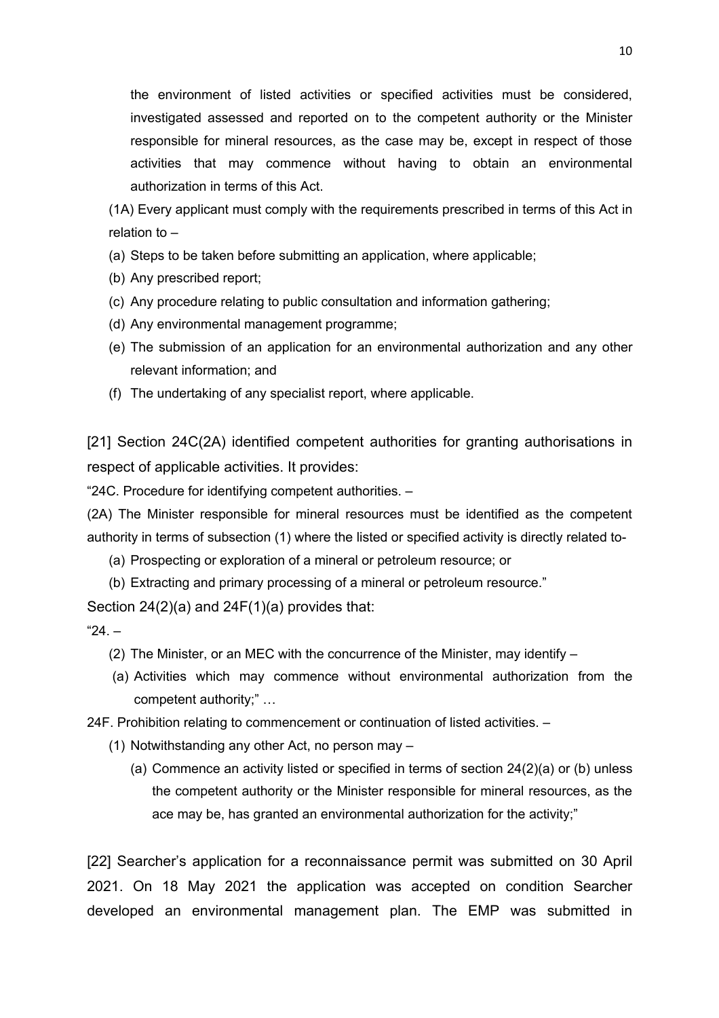the environment of listed activities or specified activities must be considered, investigated assessed and reported on to the competent authority or the Minister responsible for mineral resources, as the case may be, except in respect of those activities that may commence without having to obtain an environmental authorization in terms of this Act.

(1A) Every applicant must comply with the requirements prescribed in terms of this Act in relation to –

- (a) Steps to be taken before submitting an application, where applicable;
- (b) Any prescribed report;
- (c) Any procedure relating to public consultation and information gathering;
- (d) Any environmental management programme;
- (e) The submission of an application for an environmental authorization and any other relevant information; and
- (f) The undertaking of any specialist report, where applicable.

[21] Section 24C(2A) identified competent authorities for granting authorisations in respect of applicable activities. It provides:

"24C. Procedure for identifying competent authorities. –

(2A) The Minister responsible for mineral resources must be identified as the competent authority in terms of subsection (1) where the listed or specified activity is directly related to-

(a) Prospecting or exploration of a mineral or petroleum resource; or

(b) Extracting and primary processing of a mineral or petroleum resource."

Section 24(2)(a) and 24F(1)(a) provides that:

 $"24 -$ 

- (2) The Minister, or an MEC with the concurrence of the Minister, may identify –
- (a) Activities which may commence without environmental authorization from the competent authority;" …

24F. Prohibition relating to commencement or continuation of listed activities. –

- (1) Notwithstanding any other Act, no person may
	- (a) Commence an activity listed or specified in terms of section 24(2)(a) or (b) unless the competent authority or the Minister responsible for mineral resources, as the ace may be, has granted an environmental authorization for the activity;"

[22] Searcher's application for a reconnaissance permit was submitted on 30 April 2021. On 18 May 2021 the application was accepted on condition Searcher developed an environmental management plan. The EMP was submitted in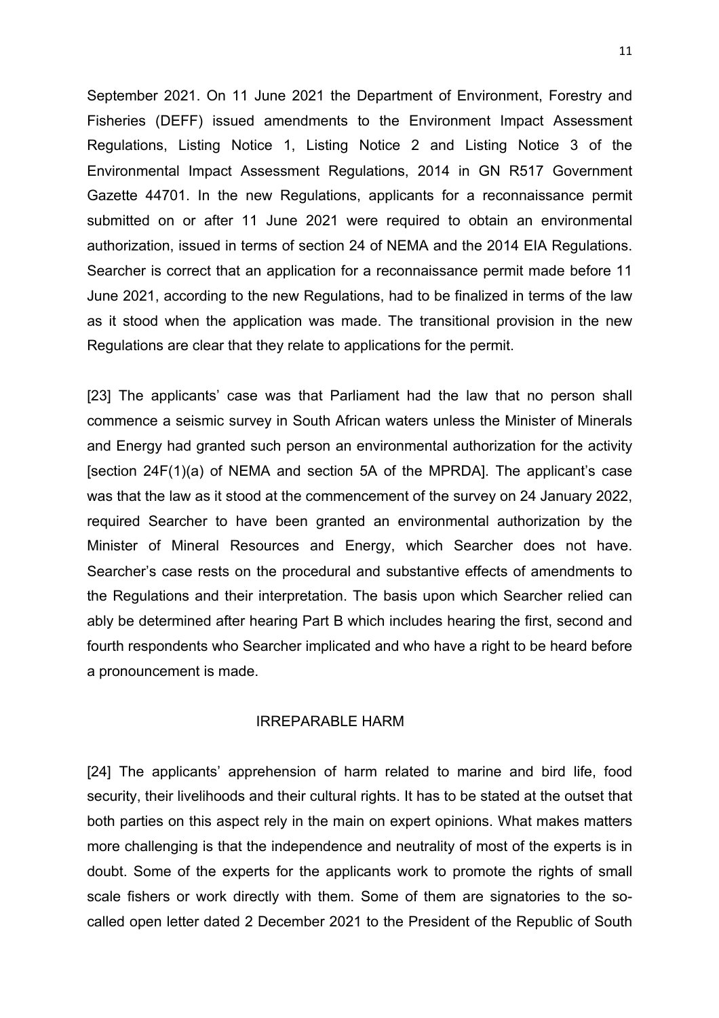September 2021. On 11 June 2021 the Department of Environment, Forestry and Fisheries (DEFF) issued amendments to the Environment Impact Assessment Regulations, Listing Notice 1, Listing Notice 2 and Listing Notice 3 of the Environmental Impact Assessment Regulations, 2014 in GN R517 Government Gazette 44701. In the new Regulations, applicants for a reconnaissance permit submitted on or after 11 June 2021 were required to obtain an environmental authorization, issued in terms of section 24 of NEMA and the 2014 EIA Regulations. Searcher is correct that an application for a reconnaissance permit made before 11 June 2021, according to the new Regulations, had to be finalized in terms of the law as it stood when the application was made. The transitional provision in the new Regulations are clear that they relate to applications for the permit.

[23] The applicants' case was that Parliament had the law that no person shall commence a seismic survey in South African waters unless the Minister of Minerals and Energy had granted such person an environmental authorization for the activity [section 24F(1)(a) of NEMA and section 5A of the MPRDA]. The applicant's case was that the law as it stood at the commencement of the survey on 24 January 2022, required Searcher to have been granted an environmental authorization by the Minister of Mineral Resources and Energy, which Searcher does not have. Searcher's case rests on the procedural and substantive effects of amendments to the Regulations and their interpretation. The basis upon which Searcher relied can ably be determined after hearing Part B which includes hearing the first, second and fourth respondents who Searcher implicated and who have a right to be heard before a pronouncement is made.

## IRREPARABLE HARM

[24] The applicants' apprehension of harm related to marine and bird life, food security, their livelihoods and their cultural rights. It has to be stated at the outset that both parties on this aspect rely in the main on expert opinions. What makes matters more challenging is that the independence and neutrality of most of the experts is in doubt. Some of the experts for the applicants work to promote the rights of small scale fishers or work directly with them. Some of them are signatories to the socalled open letter dated 2 December 2021 to the President of the Republic of South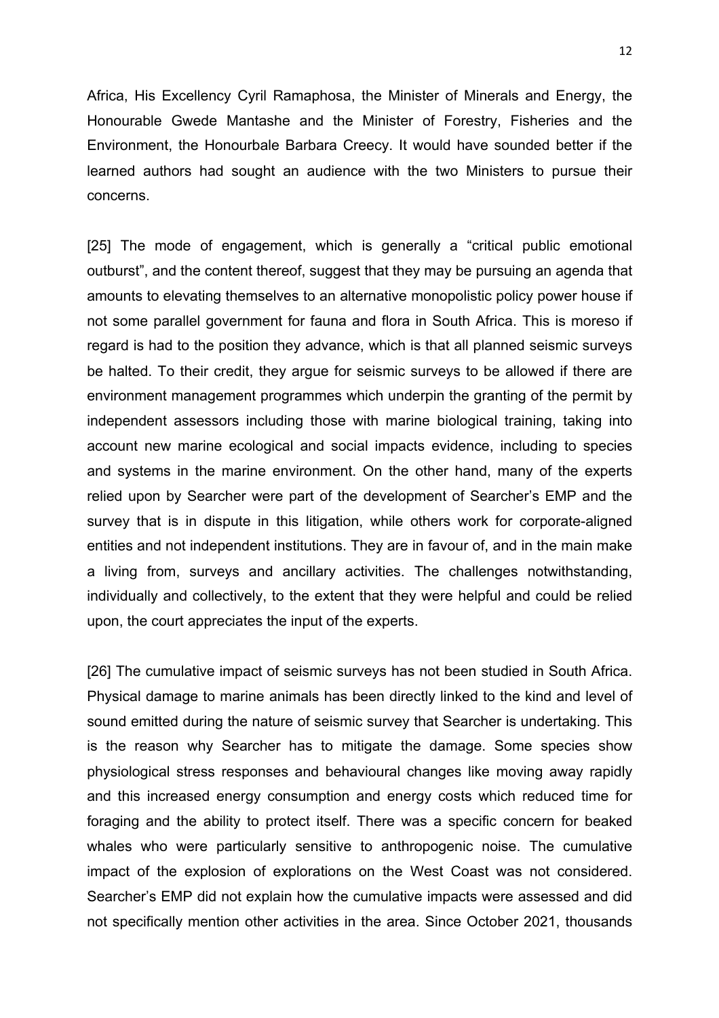Africa, His Excellency Cyril Ramaphosa, the Minister of Minerals and Energy, the Honourable Gwede Mantashe and the Minister of Forestry, Fisheries and the Environment, the Honourbale Barbara Creecy. It would have sounded better if the learned authors had sought an audience with the two Ministers to pursue their concerns.

[25] The mode of engagement, which is generally a "critical public emotional outburst", and the content thereof, suggest that they may be pursuing an agenda that amounts to elevating themselves to an alternative monopolistic policy power house if not some parallel government for fauna and flora in South Africa. This is moreso if regard is had to the position they advance, which is that all planned seismic surveys be halted. To their credit, they argue for seismic surveys to be allowed if there are environment management programmes which underpin the granting of the permit by independent assessors including those with marine biological training, taking into account new marine ecological and social impacts evidence, including to species and systems in the marine environment. On the other hand, many of the experts relied upon by Searcher were part of the development of Searcher's EMP and the survey that is in dispute in this litigation, while others work for corporate-aligned entities and not independent institutions. They are in favour of, and in the main make a living from, surveys and ancillary activities. The challenges notwithstanding, individually and collectively, to the extent that they were helpful and could be relied upon, the court appreciates the input of the experts.

[26] The cumulative impact of seismic surveys has not been studied in South Africa. Physical damage to marine animals has been directly linked to the kind and level of sound emitted during the nature of seismic survey that Searcher is undertaking. This is the reason why Searcher has to mitigate the damage. Some species show physiological stress responses and behavioural changes like moving away rapidly and this increased energy consumption and energy costs which reduced time for foraging and the ability to protect itself. There was a specific concern for beaked whales who were particularly sensitive to anthropogenic noise. The cumulative impact of the explosion of explorations on the West Coast was not considered. Searcher's EMP did not explain how the cumulative impacts were assessed and did not specifically mention other activities in the area. Since October 2021, thousands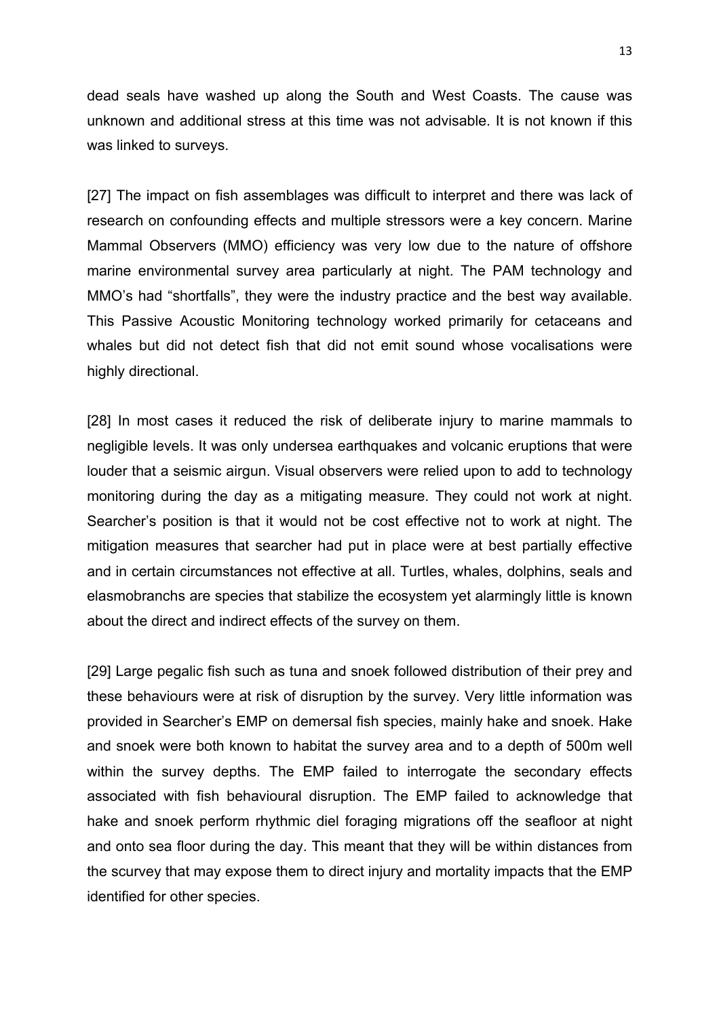dead seals have washed up along the South and West Coasts. The cause was unknown and additional stress at this time was not advisable. It is not known if this was linked to surveys.

[27] The impact on fish assemblages was difficult to interpret and there was lack of research on confounding effects and multiple stressors were a key concern. Marine Mammal Observers (MMO) efficiency was very low due to the nature of offshore marine environmental survey area particularly at night. The PAM technology and MMO's had "shortfalls", they were the industry practice and the best way available. This Passive Acoustic Monitoring technology worked primarily for cetaceans and whales but did not detect fish that did not emit sound whose vocalisations were highly directional.

[28] In most cases it reduced the risk of deliberate injury to marine mammals to negligible levels. It was only undersea earthquakes and volcanic eruptions that were louder that a seismic airgun. Visual observers were relied upon to add to technology monitoring during the day as a mitigating measure. They could not work at night. Searcher's position is that it would not be cost effective not to work at night. The mitigation measures that searcher had put in place were at best partially effective and in certain circumstances not effective at all. Turtles, whales, dolphins, seals and elasmobranchs are species that stabilize the ecosystem yet alarmingly little is known about the direct and indirect effects of the survey on them.

[29] Large pegalic fish such as tuna and snoek followed distribution of their prey and these behaviours were at risk of disruption by the survey. Very little information was provided in Searcher's EMP on demersal fish species, mainly hake and snoek. Hake and snoek were both known to habitat the survey area and to a depth of 500m well within the survey depths. The EMP failed to interrogate the secondary effects associated with fish behavioural disruption. The EMP failed to acknowledge that hake and snoek perform rhythmic diel foraging migrations off the seafloor at night and onto sea floor during the day. This meant that they will be within distances from the scurvey that may expose them to direct injury and mortality impacts that the EMP identified for other species.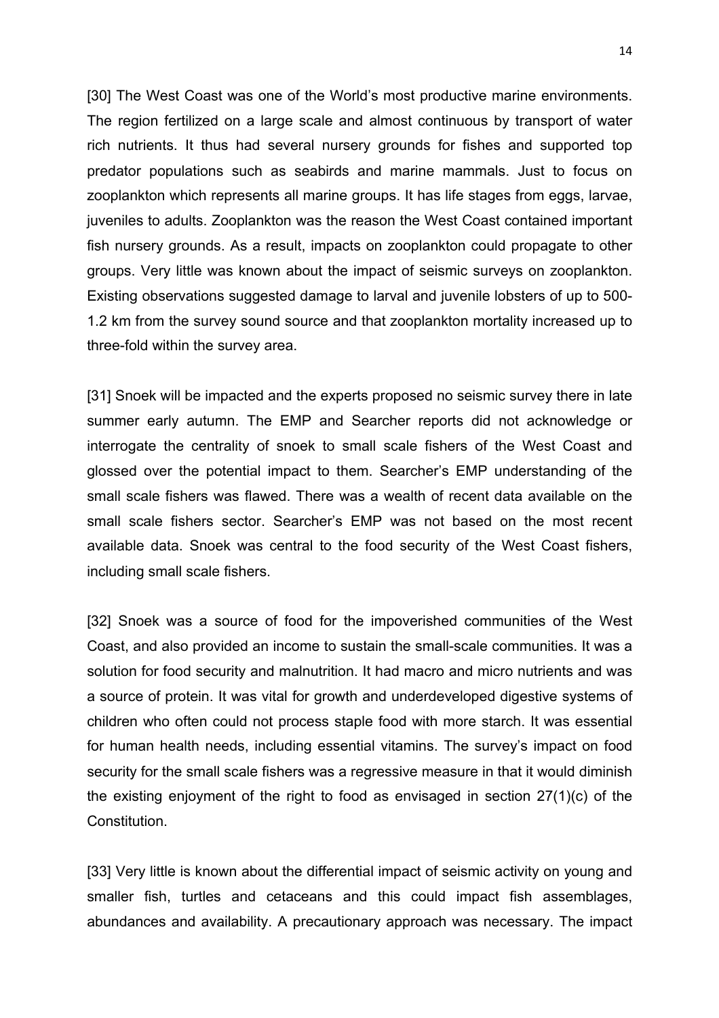[30] The West Coast was one of the World's most productive marine environments. The region fertilized on a large scale and almost continuous by transport of water rich nutrients. It thus had several nursery grounds for fishes and supported top predator populations such as seabirds and marine mammals. Just to focus on zooplankton which represents all marine groups. It has life stages from eggs, larvae, juveniles to adults. Zooplankton was the reason the West Coast contained important fish nursery grounds. As a result, impacts on zooplankton could propagate to other groups. Very little was known about the impact of seismic surveys on zooplankton. Existing observations suggested damage to larval and juvenile lobsters of up to 500- 1.2 km from the survey sound source and that zooplankton mortality increased up to three-fold within the survey area.

[31] Snoek will be impacted and the experts proposed no seismic survey there in late summer early autumn. The EMP and Searcher reports did not acknowledge or interrogate the centrality of snoek to small scale fishers of the West Coast and glossed over the potential impact to them. Searcher's EMP understanding of the small scale fishers was flawed. There was a wealth of recent data available on the small scale fishers sector. Searcher's EMP was not based on the most recent available data. Snoek was central to the food security of the West Coast fishers, including small scale fishers.

[32] Snoek was a source of food for the impoverished communities of the West Coast, and also provided an income to sustain the small-scale communities. It was a solution for food security and malnutrition. It had macro and micro nutrients and was a source of protein. It was vital for growth and underdeveloped digestive systems of children who often could not process staple food with more starch. It was essential for human health needs, including essential vitamins. The survey's impact on food security for the small scale fishers was a regressive measure in that it would diminish the existing enjoyment of the right to food as envisaged in section 27(1)(c) of the Constitution.

[33] Very little is known about the differential impact of seismic activity on young and smaller fish, turtles and cetaceans and this could impact fish assemblages, abundances and availability. A precautionary approach was necessary. The impact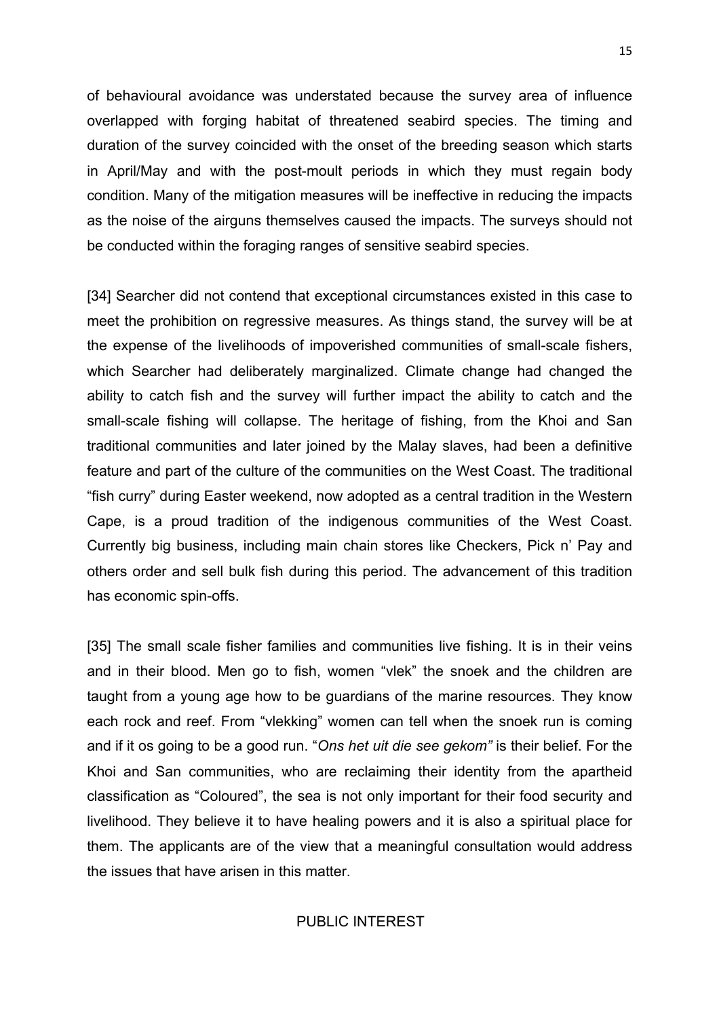of behavioural avoidance was understated because the survey area of influence overlapped with forging habitat of threatened seabird species. The timing and duration of the survey coincided with the onset of the breeding season which starts in April/May and with the post-moult periods in which they must regain body condition. Many of the mitigation measures will be ineffective in reducing the impacts as the noise of the airguns themselves caused the impacts. The surveys should not be conducted within the foraging ranges of sensitive seabird species.

[34] Searcher did not contend that exceptional circumstances existed in this case to meet the prohibition on regressive measures. As things stand, the survey will be at the expense of the livelihoods of impoverished communities of small-scale fishers, which Searcher had deliberately marginalized. Climate change had changed the ability to catch fish and the survey will further impact the ability to catch and the small-scale fishing will collapse. The heritage of fishing, from the Khoi and San traditional communities and later joined by the Malay slaves, had been a definitive feature and part of the culture of the communities on the West Coast. The traditional "fish curry" during Easter weekend, now adopted as a central tradition in the Western Cape, is a proud tradition of the indigenous communities of the West Coast. Currently big business, including main chain stores like Checkers, Pick n' Pay and others order and sell bulk fish during this period. The advancement of this tradition has economic spin-offs.

[35] The small scale fisher families and communities live fishing. It is in their veins and in their blood. Men go to fish, women "vlek" the snoek and the children are taught from a young age how to be guardians of the marine resources. They know each rock and reef. From "vlekking" women can tell when the snoek run is coming and if it os going to be a good run. "*Ons het uit die see gekom"* is their belief. For the Khoi and San communities, who are reclaiming their identity from the apartheid classification as "Coloured", the sea is not only important for their food security and livelihood. They believe it to have healing powers and it is also a spiritual place for them. The applicants are of the view that a meaningful consultation would address the issues that have arisen in this matter.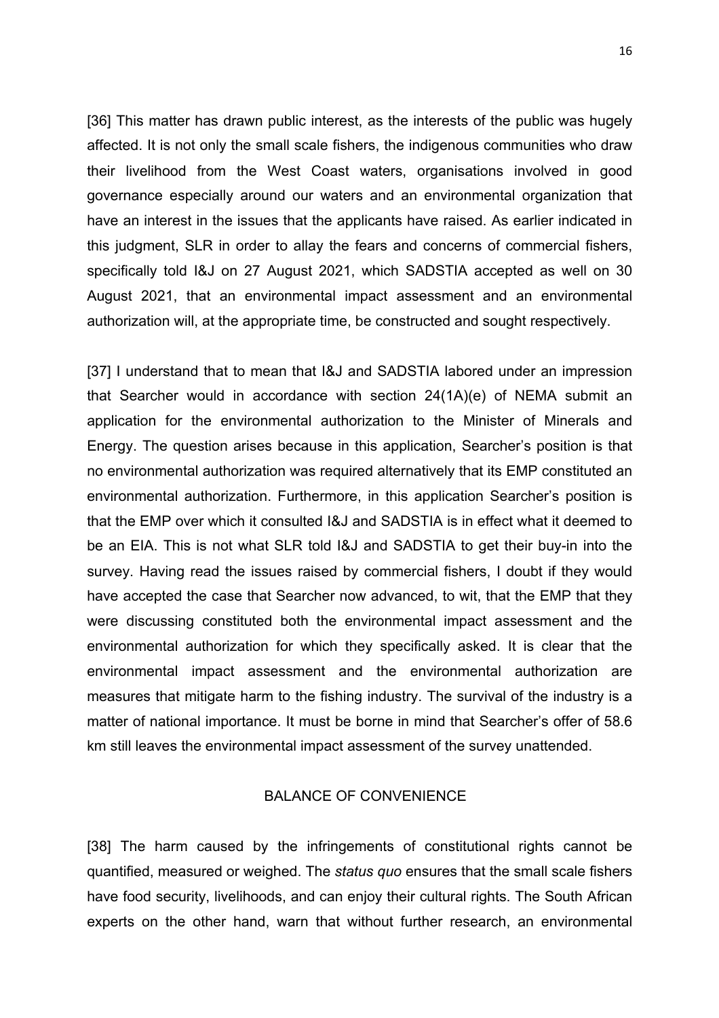[36] This matter has drawn public interest, as the interests of the public was hugely affected. It is not only the small scale fishers, the indigenous communities who draw their livelihood from the West Coast waters, organisations involved in good governance especially around our waters and an environmental organization that have an interest in the issues that the applicants have raised. As earlier indicated in this judgment, SLR in order to allay the fears and concerns of commercial fishers, specifically told I&J on 27 August 2021, which SADSTIA accepted as well on 30 August 2021, that an environmental impact assessment and an environmental authorization will, at the appropriate time, be constructed and sought respectively.

[37] I understand that to mean that I&J and SADSTIA labored under an impression that Searcher would in accordance with section 24(1A)(e) of NEMA submit an application for the environmental authorization to the Minister of Minerals and Energy. The question arises because in this application, Searcher's position is that no environmental authorization was required alternatively that its EMP constituted an environmental authorization. Furthermore, in this application Searcher's position is that the EMP over which it consulted I&J and SADSTIA is in effect what it deemed to be an EIA. This is not what SLR told I&J and SADSTIA to get their buy-in into the survey. Having read the issues raised by commercial fishers, I doubt if they would have accepted the case that Searcher now advanced, to wit, that the EMP that they were discussing constituted both the environmental impact assessment and the environmental authorization for which they specifically asked. It is clear that the environmental impact assessment and the environmental authorization are measures that mitigate harm to the fishing industry. The survival of the industry is a matter of national importance. It must be borne in mind that Searcher's offer of 58.6 km still leaves the environmental impact assessment of the survey unattended.

## BALANCE OF CONVENIENCE

[38] The harm caused by the infringements of constitutional rights cannot be quantified, measured or weighed. The *status quo* ensures that the small scale fishers have food security, livelihoods, and can enjoy their cultural rights. The South African experts on the other hand, warn that without further research, an environmental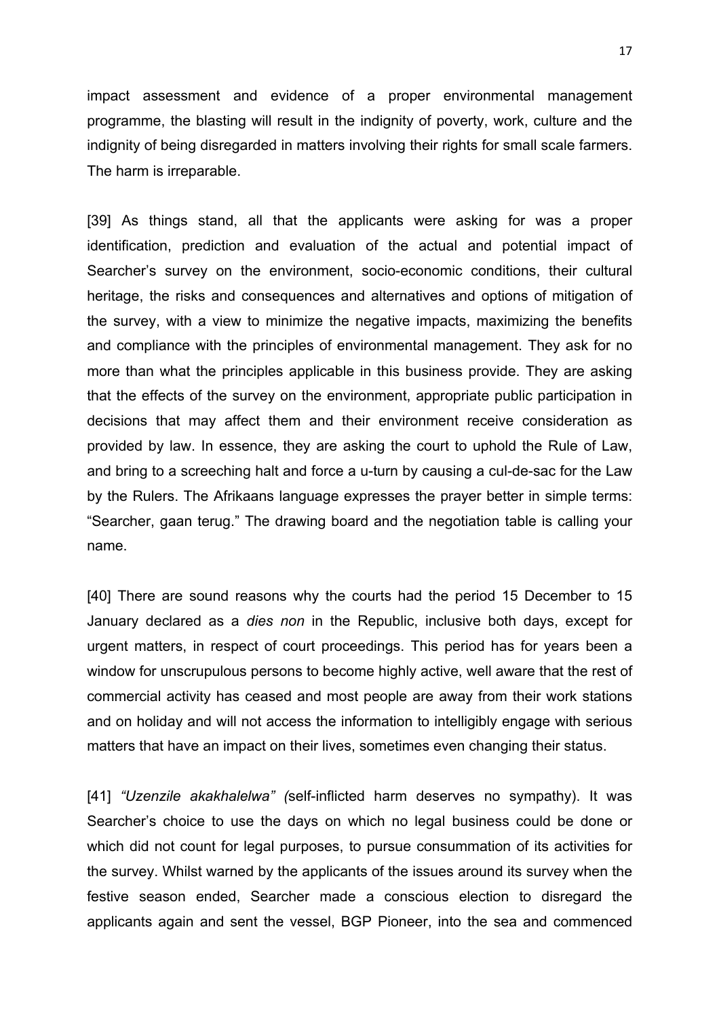impact assessment and evidence of a proper environmental management programme, the blasting will result in the indignity of poverty, work, culture and the indignity of being disregarded in matters involving their rights for small scale farmers. The harm is irreparable.

[39] As things stand, all that the applicants were asking for was a proper identification, prediction and evaluation of the actual and potential impact of Searcher's survey on the environment, socio-economic conditions, their cultural heritage, the risks and consequences and alternatives and options of mitigation of the survey, with a view to minimize the negative impacts, maximizing the benefits and compliance with the principles of environmental management. They ask for no more than what the principles applicable in this business provide. They are asking that the effects of the survey on the environment, appropriate public participation in decisions that may affect them and their environment receive consideration as provided by law. In essence, they are asking the court to uphold the Rule of Law, and bring to a screeching halt and force a u-turn by causing a cul-de-sac for the Law by the Rulers. The Afrikaans language expresses the prayer better in simple terms: "Searcher, gaan terug." The drawing board and the negotiation table is calling your name.

[40] There are sound reasons why the courts had the period 15 December to 15 January declared as a *dies non* in the Republic, inclusive both days, except for urgent matters, in respect of court proceedings. This period has for years been a window for unscrupulous persons to become highly active, well aware that the rest of commercial activity has ceased and most people are away from their work stations and on holiday and will not access the information to intelligibly engage with serious matters that have an impact on their lives, sometimes even changing their status.

[41] *"Uzenzile akakhalelwa" (*self-inflicted harm deserves no sympathy). It was Searcher's choice to use the days on which no legal business could be done or which did not count for legal purposes, to pursue consummation of its activities for the survey. Whilst warned by the applicants of the issues around its survey when the festive season ended, Searcher made a conscious election to disregard the applicants again and sent the vessel, BGP Pioneer, into the sea and commenced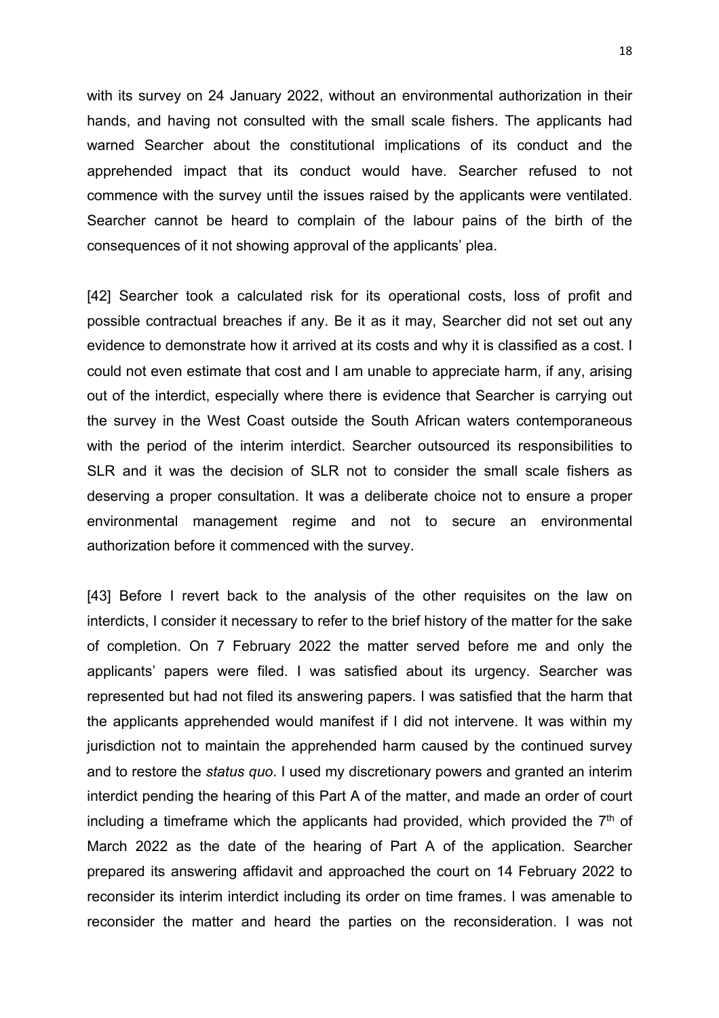with its survey on 24 January 2022, without an environmental authorization in their hands, and having not consulted with the small scale fishers. The applicants had warned Searcher about the constitutional implications of its conduct and the apprehended impact that its conduct would have. Searcher refused to not commence with the survey until the issues raised by the applicants were ventilated. Searcher cannot be heard to complain of the labour pains of the birth of the consequences of it not showing approval of the applicants' plea.

[42] Searcher took a calculated risk for its operational costs, loss of profit and possible contractual breaches if any. Be it as it may, Searcher did not set out any evidence to demonstrate how it arrived at its costs and why it is classified as a cost. I could not even estimate that cost and I am unable to appreciate harm, if any, arising out of the interdict, especially where there is evidence that Searcher is carrying out the survey in the West Coast outside the South African waters contemporaneous with the period of the interim interdict. Searcher outsourced its responsibilities to SLR and it was the decision of SLR not to consider the small scale fishers as deserving a proper consultation. It was a deliberate choice not to ensure a proper environmental management regime and not to secure an environmental authorization before it commenced with the survey.

[43] Before I revert back to the analysis of the other requisites on the law on interdicts, I consider it necessary to refer to the brief history of the matter for the sake of completion. On 7 February 2022 the matter served before me and only the applicants' papers were filed. I was satisfied about its urgency. Searcher was represented but had not filed its answering papers. I was satisfied that the harm that the applicants apprehended would manifest if I did not intervene. It was within my jurisdiction not to maintain the apprehended harm caused by the continued survey and to restore the *status quo*. I used my discretionary powers and granted an interim interdict pending the hearing of this Part A of the matter, and made an order of court including a timeframe which the applicants had provided, which provided the  $7<sup>th</sup>$  of March 2022 as the date of the hearing of Part A of the application. Searcher prepared its answering affidavit and approached the court on 14 February 2022 to reconsider its interim interdict including its order on time frames. I was amenable to reconsider the matter and heard the parties on the reconsideration. I was not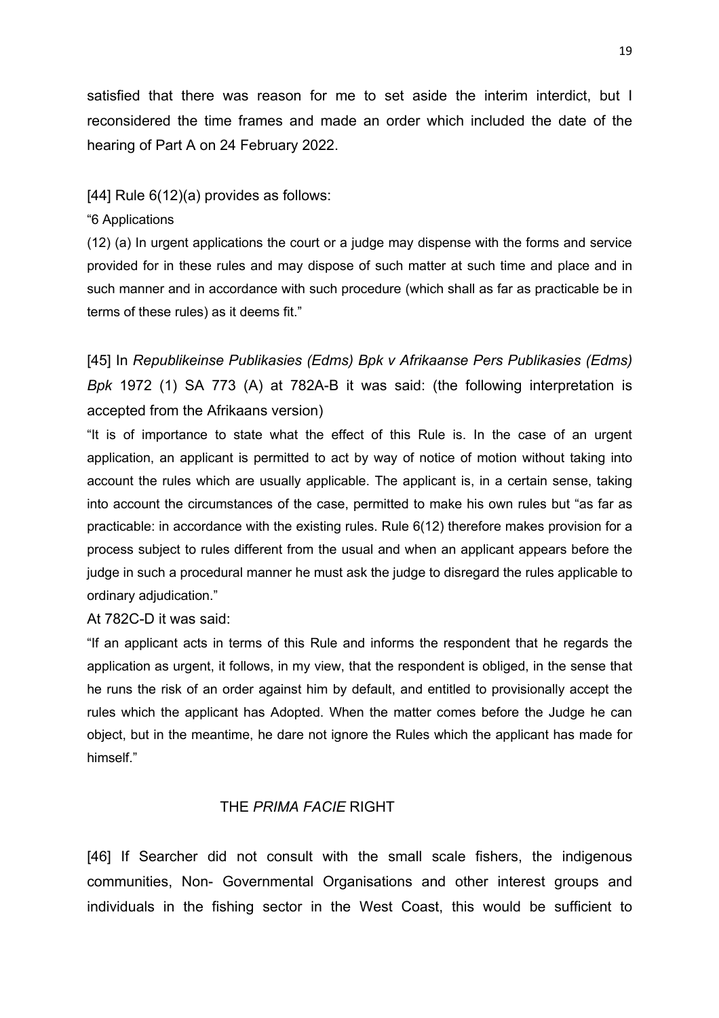satisfied that there was reason for me to set aside the interim interdict, but I reconsidered the time frames and made an order which included the date of the hearing of Part A on 24 February 2022.

#### [44] Rule 6(12)(a) provides as follows:

#### "6 Applications

(12) (a) In urgent applications the court or a judge may dispense with the forms and service provided for in these rules and may dispose of such matter at such time and place and in such manner and in accordance with such procedure (which shall as far as practicable be in terms of these rules) as it deems fit."

[45] In *Republikeinse Publikasies (Edms) Bpk v Afrikaanse Pers Publikasies (Edms) Bpk* 1972 (1) SA 773 (A) at 782A-B it was said: (the following interpretation is accepted from the Afrikaans version)

"It is of importance to state what the effect of this Rule is. In the case of an urgent application, an applicant is permitted to act by way of notice of motion without taking into account the rules which are usually applicable. The applicant is, in a certain sense, taking into account the circumstances of the case, permitted to make his own rules but "as far as practicable: in accordance with the existing rules. Rule 6(12) therefore makes provision for a process subject to rules different from the usual and when an applicant appears before the judge in such a procedural manner he must ask the judge to disregard the rules applicable to ordinary adjudication."

At 782C-D it was said:

"If an applicant acts in terms of this Rule and informs the respondent that he regards the application as urgent, it follows, in my view, that the respondent is obliged, in the sense that he runs the risk of an order against him by default, and entitled to provisionally accept the rules which the applicant has Adopted. When the matter comes before the Judge he can object, but in the meantime, he dare not ignore the Rules which the applicant has made for himself<sup>"</sup>

## THE *PRIMA FACIE* RIGHT

[46] If Searcher did not consult with the small scale fishers, the indigenous communities, Non- Governmental Organisations and other interest groups and individuals in the fishing sector in the West Coast, this would be sufficient to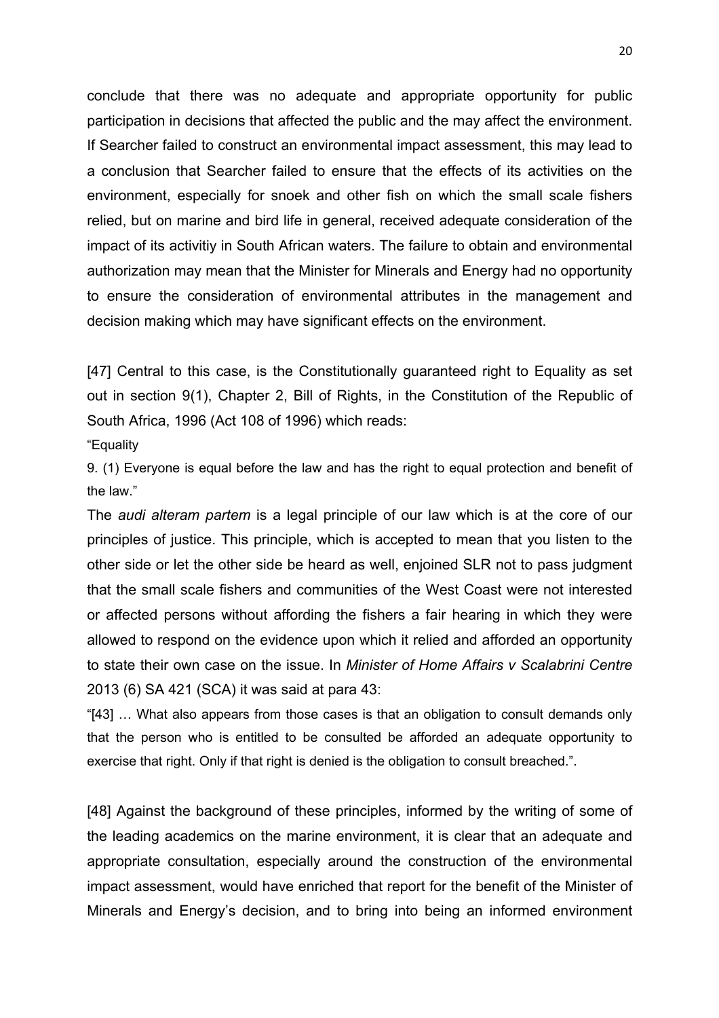conclude that there was no adequate and appropriate opportunity for public participation in decisions that affected the public and the may affect the environment. If Searcher failed to construct an environmental impact assessment, this may lead to a conclusion that Searcher failed to ensure that the effects of its activities on the environment, especially for snoek and other fish on which the small scale fishers relied, but on marine and bird life in general, received adequate consideration of the impact of its activitiy in South African waters. The failure to obtain and environmental authorization may mean that the Minister for Minerals and Energy had no opportunity to ensure the consideration of environmental attributes in the management and decision making which may have significant effects on the environment.

[47] Central to this case, is the Constitutionally guaranteed right to Equality as set out in section 9(1), Chapter 2, Bill of Rights, in the Constitution of the Republic of South Africa, 1996 (Act 108 of 1996) which reads:

"Equality

9. (1) Everyone is equal before the law and has the right to equal protection and benefit of the law."

The *audi alteram partem* is a legal principle of our law which is at the core of our principles of justice. This principle, which is accepted to mean that you listen to the other side or let the other side be heard as well, enjoined SLR not to pass judgment that the small scale fishers and communities of the West Coast were not interested or affected persons without affording the fishers a fair hearing in which they were allowed to respond on the evidence upon which it relied and afforded an opportunity to state their own case on the issue. In *Minister of Home Affairs v Scalabrini Centre*  2013 (6) SA 421 (SCA) it was said at para 43:

"[43] … What also appears from those cases is that an obligation to consult demands only that the person who is entitled to be consulted be afforded an adequate opportunity to exercise that right. Only if that right is denied is the obligation to consult breached.".

[48] Against the background of these principles, informed by the writing of some of the leading academics on the marine environment, it is clear that an adequate and appropriate consultation, especially around the construction of the environmental impact assessment, would have enriched that report for the benefit of the Minister of Minerals and Energy's decision, and to bring into being an informed environment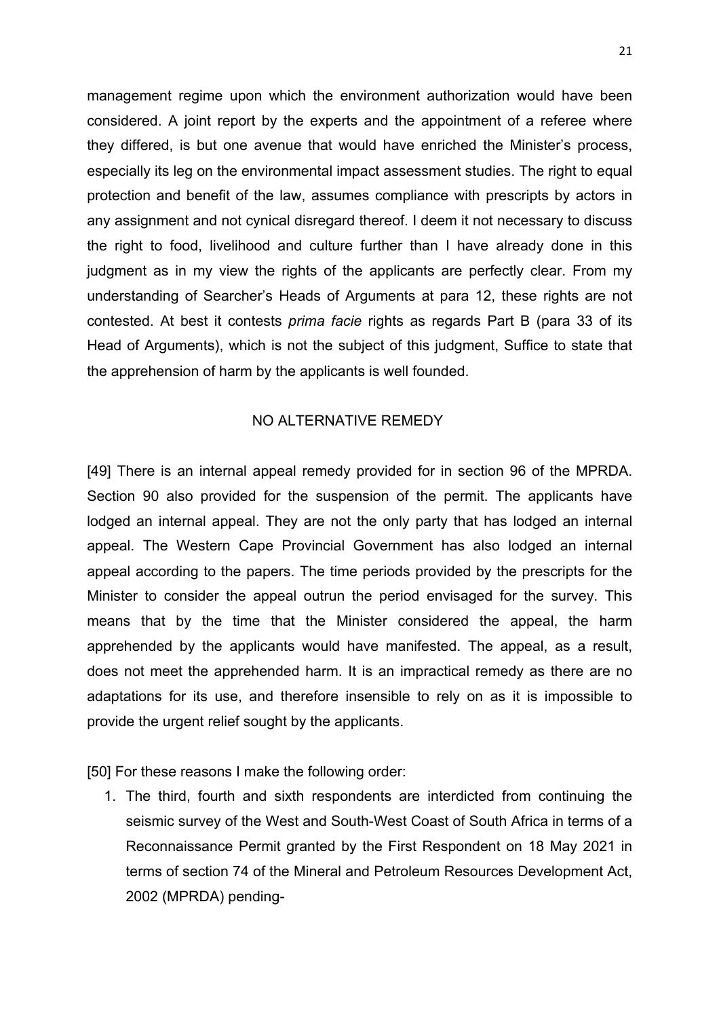management regime upon which the environment authorization would have been considered. A joint report by the experts and the appointment of a referee where they differed, is but one avenue that would have enriched the Minister's process, especially its leg on the environmental impact assessment studies. The right to equal protection and benefit of the law, assumes compliance with prescripts by actors in any assignment and not cynical disregard thereof. I deem it not necessary to discuss the right to food, livelihood and culture further than I have already done in this judgment as in my view the rights of the applicants are perfectly clear. From my understanding of Searcher's Heads of Arguments at para 12, these rights are not contested. At best it contests *prima facie* rights as regards Part B (para 33 of its Head of Arguments), which is not the subject of this judgment, Suffice to state that the apprehension of harm by the applicants is well founded.

## NO ALTERNATIVE REMEDY

[49] There is an internal appeal remedy provided for in section 96 of the MPRDA. Section 90 also provided for the suspension of the permit. The applicants have lodged an internal appeal. They are not the only party that has lodged an internal appeal. The Western Cape Provincial Government has also lodged an internal appeal according to the papers. The time periods provided by the prescripts for the Minister to consider the appeal outrun the period envisaged for the survey. This means that by the time that the Minister considered the appeal, the harm apprehended by the applicants would have manifested. The appeal, as a result, does not meet the apprehended harm. It is an impractical remedy as there are no adaptations for its use, and therefore insensible to rely on as it is impossible to provide the urgent relief sought by the applicants.

[50] For these reasons I make the following order:

1. The third, fourth and sixth respondents are interdicted from continuing the seismic survey of the West and South-West Coast of South Africa in terms of a Reconnaissance Permit granted by the First Respondent on 18 May 2021 in terms of section 74 of the Mineral and Petroleum Resources Development Act, 2002 (MPRDA) pending-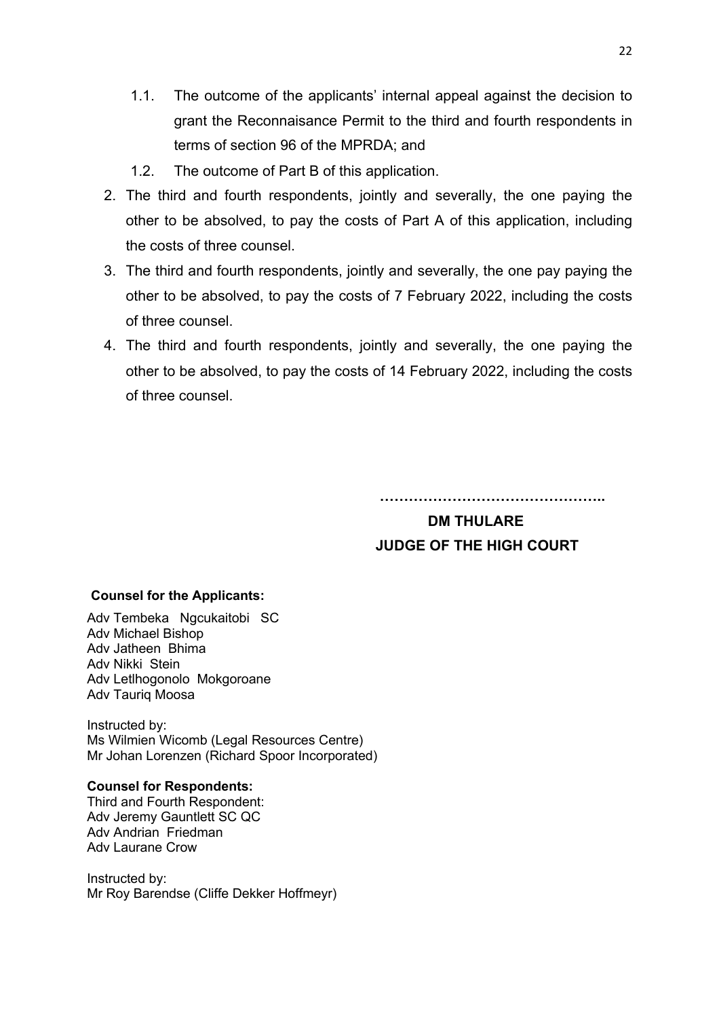- 1.1. The outcome of the applicants' internal appeal against the decision to grant the Reconnaisance Permit to the third and fourth respondents in terms of section 96 of the MPRDA; and
- 1.2. The outcome of Part B of this application.
- 2. The third and fourth respondents, jointly and severally, the one paying the other to be absolved, to pay the costs of Part A of this application, including the costs of three counsel.
- 3. The third and fourth respondents, jointly and severally, the one pay paying the other to be absolved, to pay the costs of 7 February 2022, including the costs of three counsel.
- 4. The third and fourth respondents, jointly and severally, the one paying the other to be absolved, to pay the costs of 14 February 2022, including the costs of three counsel.

**………………………………………..**

# **DM THULARE JUDGE OF THE HIGH COURT**

#### **Counsel for the Applicants:**

Adv Tembeka Ngcukaitobi SC Adv Michael Bishop Adv Jatheen Bhima Adv Nikki Stein Adv Letlhogonolo Mokgoroane Adv Tauriq Moosa

Instructed by: Ms Wilmien Wicomb (Legal Resources Centre) Mr Johan Lorenzen (Richard Spoor Incorporated)

#### **Counsel for Respondents:**

Third and Fourth Respondent: Adv Jeremy Gauntlett SC QC Adv Andrian Friedman Adv Laurane Crow

Instructed by: Mr Roy Barendse (Cliffe Dekker Hoffmeyr)